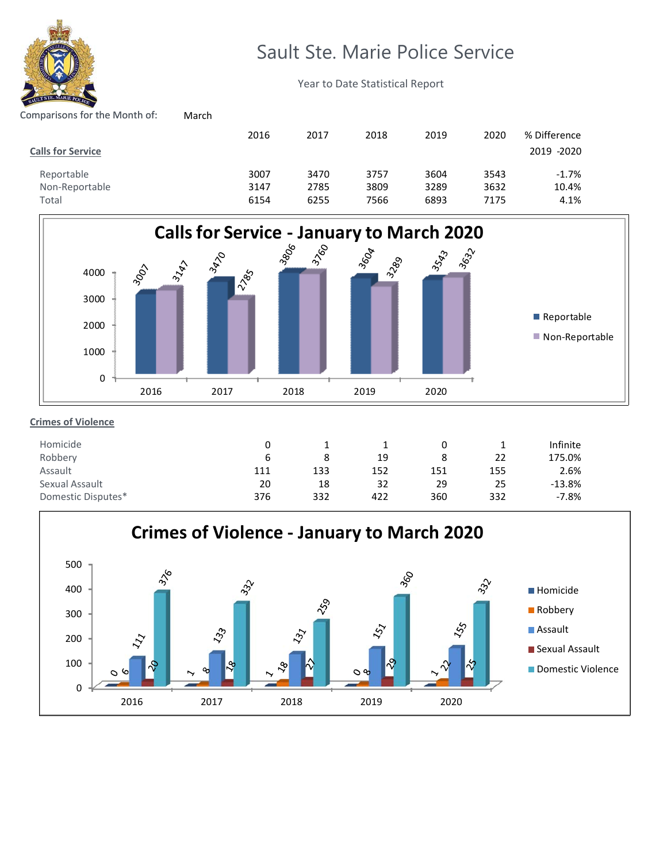

# Sault Ste. Marie Police Service

Year to Date Statistical Report

# Comparisons for the Month of: March

|                          | 2016 | 2017 | 2018 | 2019 | 2020 | % Difference |
|--------------------------|------|------|------|------|------|--------------|
| <b>Calls for Service</b> |      |      |      |      |      | 2019 -2020   |
| Reportable               | 3007 | 3470 | 3757 | 3604 | 3543 | $-1.7%$      |
| Non-Reportable           | 3147 | 2785 | 3809 | 3289 | 3632 | 10.4%        |
| Total                    | 6154 | 6255 | 7566 | 6893 | 7175 | 4.1%         |



## **Crimes of Violence**

| Homicide           |     |     |     |     |     | Infinite |
|--------------------|-----|-----|-----|-----|-----|----------|
| Robbery            |     |     | 19  | 8   | 22  | 175.0%   |
| Assault            | 111 | 133 | 152 | 151 | 155 | 2.6%     |
| Sexual Assault     | 20  | 18  | 32  | 29  | 25  | $-13.8%$ |
| Domestic Disputes* | 376 | 332 | 422 | 360 | 332 | $-7.8%$  |